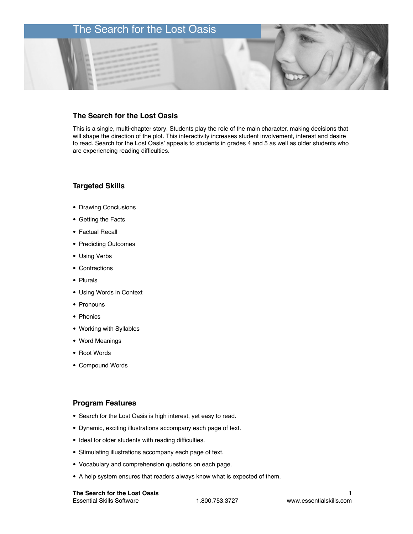# The Search for the Lost Oasis

# **The Search for the Lost Oasis**

This is a single, multi-chapter story. Students play the role of the main character, making decisions that will shape the direction of the plot. This interactivity increases student involvement, interest and desire to read. Search for the Lost Oasis' appeals to students in grades 4 and 5 as well as older students who are experiencing reading difficulties.

## **Targeted Skills**

- Drawing Conclusions
- Getting the Facts
- Factual Recall
- Predicting Outcomes
- Using Verbs
- Contractions
- Plurals
- Using Words in Context
- Pronouns
- Phonics
- Working with Syllables
- Word Meanings
- Root Words
- Compound Words

## **Program Features**

- Search for the Lost Oasis is high interest, yet easy to read.
- Dynamic, exciting illustrations accompany each page of text.
- Ideal for older students with reading difficulties.
- Stimulating illustrations accompany each page of text.
- Vocabulary and comprehension questions on each page.
- A help system ensures that readers always know what is expected of them.

### **The Search for the Lost Oasis**  Essential Skills Software 1.800.753.3727